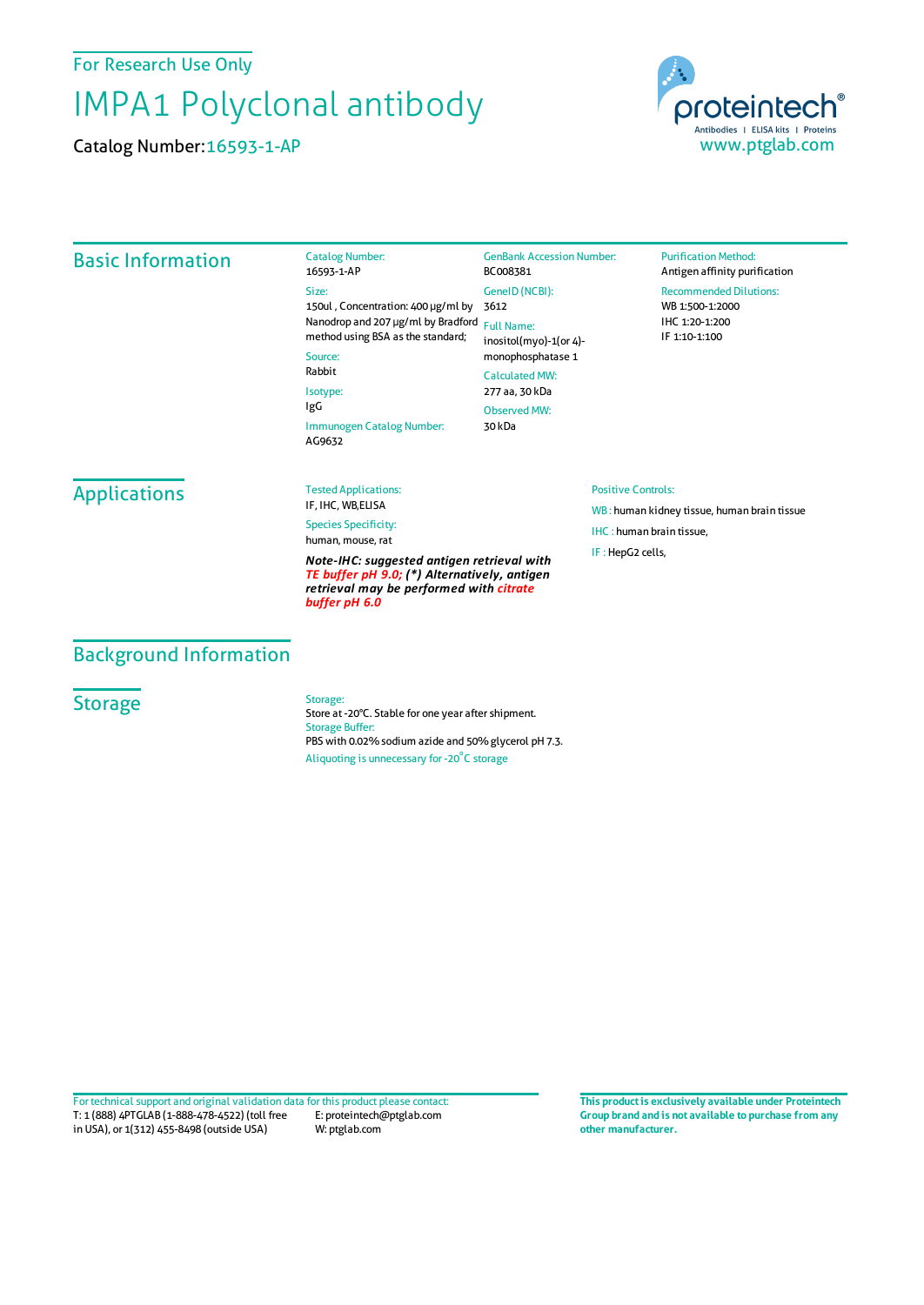For Research Use Only

## IMPA1 Polyclonal antibody

Catalog Number:16593-1-AP



## Basic Information Catalog Number: 16593-1-AP Size: 150ul , Concentration: 400 μg/ml by 3612 Nanodrop and 207 μg/ml by Bradford Full Name: method using BSA as the standard; Source: Rabbit Isotype: IgG Immunogen Catalog Number: AG9632 GenBank Accession Number: BC008381 GeneID(NCBI): inositol(myo)-1(or 4) monophosphatase 1 CalculatedMW: 277 aa, 30 kDa ObservedMW: 30 kDa **Purification Method:** Antigen affinity purification Recommended Dilutions: WB 1:500-1:2000 IHC 1:20-1:200 IF 1:10-1:100 **Applications** Tested Applications: IF, IHC, WB,ELISA Species Specificity: human, mouse, rat *Note-IHC: suggested antigen retrieval with TE buffer pH 9.0; (\*) Alternatively, antigen retrieval may be performed with citrate buffer pH 6.0* Positive Controls: WB : human kidney tissue, human brain tissue IHC : human brain tissue, IF : HepG2 cells,

## Background Information

**Storage** 

Storage:

Store at -20°C. Stable for one year after shipment. Storage Buffer: PBS with 0.02% sodium azide and 50% glycerol pH 7.3. Aliquoting is unnecessary for -20<sup>°</sup>C storage

T: 1 (888) 4PTGLAB (1-888-478-4522) (toll free in USA), or 1(312) 455-8498 (outside USA) E: proteintech@ptglab.com W: ptglab.com Fortechnical support and original validation data forthis product please contact: **This productis exclusively available under Proteintech**

**Group brand and is not available to purchase from any other manufacturer.**